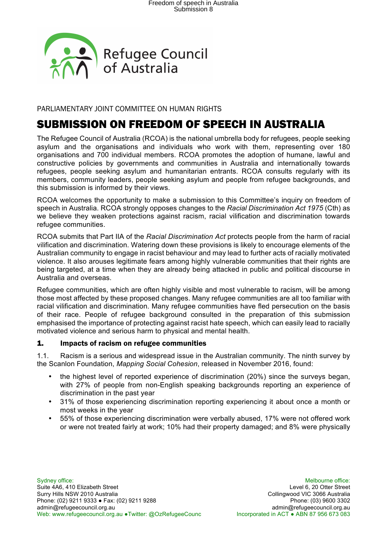

PARLIAMENTARY JOINT COMMITTEE ON HUMAN RIGHTS

## SUBMISSION ON FREEDOM OF SPEECH IN AUSTRALIA

The Refugee Council of Australia (RCOA) is the national umbrella body for refugees, people seeking asylum and the organisations and individuals who work with them, representing over 180 organisations and 700 individual members. RCOA promotes the adoption of humane, lawful and constructive policies by governments and communities in Australia and internationally towards refugees, people seeking asylum and humanitarian entrants. RCOA consults regularly with its members, community leaders, people seeking asylum and people from refugee backgrounds, and this submission is informed by their views.

RCOA welcomes the opportunity to make a submission to this Committee's inquiry on freedom of speech in Australia. RCOA strongly opposes changes to the *Racial Discrimination Act 1975* (Cth) as we believe they weaken protections against racism, racial vilification and discrimination towards refugee communities.

RCOA submits that Part IIA of the *Racial Discrimination Act* protects people from the harm of racial vilification and discrimination. Watering down these provisions is likely to encourage elements of the Australian community to engage in racist behaviour and may lead to further acts of racially motivated violence. It also arouses legitimate fears among highly vulnerable communities that their rights are being targeted, at a time when they are already being attacked in public and political discourse in Australia and overseas.

Refugee communities, which are often highly visible and most vulnerable to racism, will be among those most affected by these proposed changes. Many refugee communities are all too familiar with racial vilification and discrimination. Many refugee communities have fled persecution on the basis of their race. People of refugee background consulted in the preparation of this submission emphasised the importance of protecting against racist hate speech, which can easily lead to racially motivated violence and serious harm to physical and mental health.

#### 1. Impacts of racism on refugee communities

1.1. Racism is a serious and widespread issue in the Australian community. The ninth survey by the Scanlon Foundation, *Mapping Social Cohesion*, released in November 2016, found:

- the highest level of reported experience of discrimination (20%) since the surveys began, with 27% of people from non-English speaking backgrounds reporting an experience of discrimination in the past year
- 31% of those experiencing discrimination reporting experiencing it about once a month or most weeks in the year
- 55% of those experiencing discrimination were verbally abused, 17% were not offered work or were not treated fairly at work; 10% had their property damaged; and 8% were physically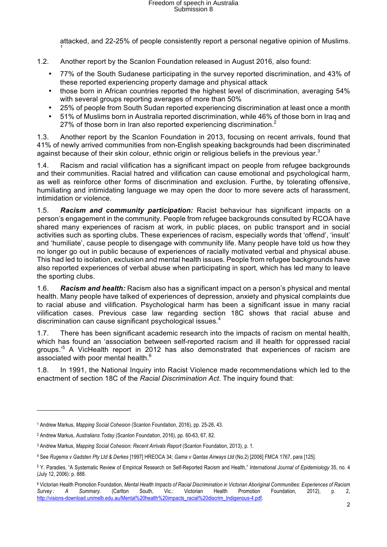attacked, and 22-25% of people consistently report a personal negative opinion of Muslims. 1

- 1.2. Another report by the Scanlon Foundation released in August 2016, also found:
	- 77% of the South Sudanese participating in the survey reported discrimination, and 43% of these reported experiencing property damage and physical attack
	- those born in African countries reported the highest level of discrimination, averaging 54% with several groups reporting averages of more than 50%
	- 25% of people from South Sudan reported experiencing discrimination at least once a month
	- 51% of Muslims born in Australia reported discrimination, while 46% of those born in Iraq and 27% of those born in Iran also reported experiencing discrimination.<sup>2</sup>

1.3. Another report by the Scanlon Foundation in 2013, focusing on recent arrivals, found that 41% of newly arrived communities from non-English speaking backgrounds had been discriminated against because of their skin colour, ethnic origin or religious beliefs in the previous year.<sup>3</sup>

1.4. Racism and racial vilification has a significant impact on people from refugee backgrounds and their communities. Racial hatred and vilification can cause emotional and psychological harm, as well as reinforce other forms of discrimination and exclusion. Furthe, by tolerating offensive, humiliating and intimidating language we may open the door to more severe acts of harassment, intimidation or violence.

1.5. *Racism and community participation:* Racist behaviour has significant impacts on a person's engagement in the community. People from refugee backgrounds consulted by RCOA have shared many experiences of racism at work, in public places, on public transport and in social activities such as sporting clubs. These experiences of racism, especially words that 'offend', 'insult' and 'humiliate', cause people to disengage with community life. Many people have told us how they no longer go out in public because of experiences of racially motivated verbal and physical abuse. This had led to isolation, exclusion and mental health issues. People from refugee backgrounds have also reported experiences of verbal abuse when participating in sport, which has led many to leave the sporting clubs.

1.6. *Racism and health:* Racism also has a significant impact on a person's physical and mental health. Many people have talked of experiences of depression, anxiety and physical complaints due to racial abuse and vilification. Psychological harm has been a significant issue in many racial vilification cases. Previous case law regarding section 18C shows that racial abuse and discrimination can cause significant psychological issues.<sup>4</sup>

1.7. There has been significant academic research into the impacts of racism on mental health, which has found an 'association between self-reported racism and ill health for oppressed racial groups.'<sup>5</sup> A VicHealth report in 2012 has also demonstrated that experiences of racism are associated with poor mental health.<sup>6</sup>

1.8. In 1991, the National Inquiry into Racist Violence made recommendations which led to the enactment of section 18C of the *Racial Discrimination Act*. The inquiry found that:

<sup>1</sup> Andrew Markus, *Mapping Social Cohesion* (Scanlon Foundation, 2016), pp. 25-26, 43.

<sup>2</sup> Andrew Markus, *Australians Today* (Scanlon Foundation, 2016), pp. 60-63, 67, 82.

<sup>3</sup> Andrew Markus, *Mapping Social Cohesion: Recent Arrivals Report* (Scanlon Foundation, 2013), p. 1.

<sup>4</sup> See *Rugema v Gadsten Pty Ltd & Derkes* [1997] HREOCA 34; *Gama v Qantas Airways Ltd* (No.2) [2006] FMCA 1767, para [125].

<sup>5</sup> Y. Paradies, "A Systematic Review of Empirical Research on Self-Reported Racism and Health," *International Journal of Epidemiology* 35, no. 4 (July 12, 2006): p. 888.

<sup>6</sup> Victorian Health Promotion Foundation, *Mental Health Impacts of Racial Discrimination in Victorian Aboriginal Communities: Experiences of Racism Survey : A Summary.* (Carlton South, Vic.: Victorian Health Promotion Foundation, 2012), p. 2, http://visions-download.unimelb.edu.au/Mental%20health%20impacts\_racial%20discrim\_Indigenous-4.pdf.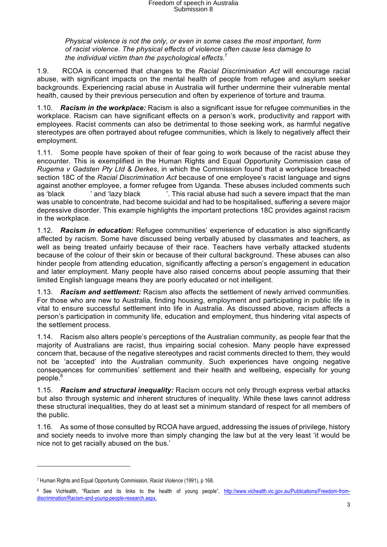*Physical violence is not the only, or even in some cases the most important, form of racist violence. The physical effects of violence often cause less damage to the individual victim than the psychological effects.*<sup>7</sup>

1.9. RCOA is concerned that changes to the *Racial Discrimination Act* will encourage racial abuse, with significant impacts on the mental health of people from refugee and asylum seeker backgrounds. Experiencing racial abuse in Australia will further undermine their vulnerable mental health, caused by their previous persecution and often by experience of torture and trauma.

1.10. *Racism in the workplace:* Racism is also a significant issue for refugee communities in the workplace. Racism can have significant effects on a person's work, productivity and rapport with employees. Racist comments can also be detrimental to those seeking work, as harmful negative stereotypes are often portrayed about refugee communities, which is likely to negatively affect their employment.

1.11. Some people have spoken of their of fear going to work because of the racist abuse they encounter. This is exemplified in the Human Rights and Equal Opportunity Commission case of *Rugema v Gadsten Pty Ltd & Derkes*, in which the Commission found that a workplace breached section 18C of the *Racial Discrimination Act* because of one employee's racist language and signs against another employee, a former refugee from Uganda. These abuses included comments such as 'black <sup>'</sup> and 'lazy black '. This racial abuse had such a severe impact that the man was unable to concentrate, had become suicidal and had to be hospitalised, suffering a severe major depressive disorder. This example highlights the important protections 18C provides against racism in the workplace.

1.12. *Racism in education:* Refugee communities' experience of education is also significantly affected by racism. Some have discussed being verbally abused by classmates and teachers, as well as being treated unfairly because of their race. Teachers have verbally attacked students because of the colour of their skin or because of their cultural background. These abuses can also hinder people from attending education, significantly affecting a person's engagement in education and later employment. Many people have also raised concerns about people assuming that their limited English language means they are poorly educated or not intelligent.

1.13. *Racism and settlement:* Racism also affects the settlement of newly arrived communities. For those who are new to Australia, finding housing, employment and participating in public life is vital to ensure successful settlement into life in Australia. As discussed above, racism affects a person's participation in community life, education and employment, thus hindering vital aspects of the settlement process.

1.14. Racism also alters people's perceptions of the Australian community, as people fear that the majority of Australians are racist, thus impairing social cohesion. Many people have expressed concern that, because of the negative stereotypes and racist comments directed to them, they would not be 'accepted' into the Australian community. Such experiences have ongoing negative consequences for communities' settlement and their health and wellbeing, especially for young people.<sup>8</sup>

1.15. *Racism and structural inequality:* Racism occurs not only through express verbal attacks but also through systemic and inherent structures of inequality. While these laws cannot address these structural inequalities, they do at least set a minimum standard of respect for all members of the public.

1.16. As some of those consulted by RCOA have argued, addressing the issues of privilege, history and society needs to involve more than simply changing the law but at the very least 'it would be nice not to get racially abused on the bus.'

 $\overline{a}$ 

<sup>7</sup> Human Rights and Equal Opportunity Commission, *Racist Violence* (1991), p 168.

<sup>8</sup> See VicHealth, "Racism and its links to the health of young people", http://www.vichealth.vic.gov.au/Publications/Freedom-fromdiscrimination/Racism-and-young-people-research.aspx.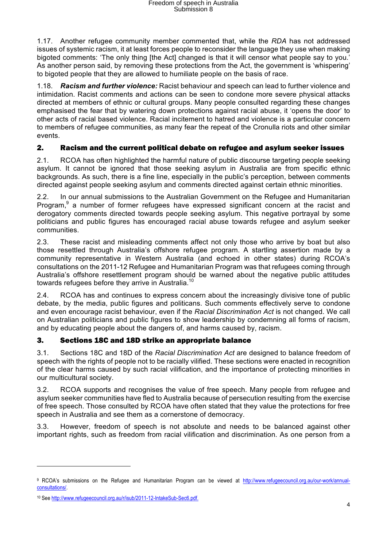1.17. Another refugee community member commented that, while the *RDA* has not addressed issues of systemic racism, it at least forces people to reconsider the language they use when making bigoted comments: 'The only thing [the Act] changed is that it will censor what people say to you.' As another person said, by removing these protections from the Act, the government is 'whispering' to bigoted people that they are allowed to humiliate people on the basis of race.

1.18. *Racism and further violence:* Racist behaviour and speech can lead to further violence and intimidation. Racist comments and actions can be seen to condone more severe physical attacks directed at members of ethnic or cultural groups. Many people consulted regarding these changes emphasised the fear that by watering down protections against racial abuse, it 'opens the door' to other acts of racial based violence. Racial incitement to hatred and violence is a particular concern to members of refugee communities, as many fear the repeat of the Cronulla riots and other similar events.

### 2. Racism and the current political debate on refugee and asylum seeker issues

2.1. RCOA has often highlighted the harmful nature of public discourse targeting people seeking asylum. It cannot be ignored that those seeking asylum in Australia are from specific ethnic backgrounds. As such, there is a fine line, especially in the public's perception, between comments directed against people seeking asylum and comments directed against certain ethnic minorities.

2.2. In our annual submissions to the Australian Government on the Refugee and Humanitarian Program,<sup>9</sup> a number of former refugees have expressed significant concern at the racist and derogatory comments directed towards people seeking asylum. This negative portrayal by some politicians and public figures has encouraged racial abuse towards refugee and asylum seeker communities.

2.3. These racist and misleading comments affect not only those who arrive by boat but also those resettled through Australia's offshore refugee program. A startling assertion made by a community representative in Western Australia (and echoed in other states) during RCOA's consultations on the 2011-12 Refugee and Humanitarian Program was that refugees coming through Australia's offshore resettlement program should be warned about the negative public attitudes towards refugees before they arrive in Australia.<sup>10</sup>

2.4. RCOA has and continues to express concern about the increasingly divisive tone of public debate, by the media, public figures and politicans. Such comments effectively serve to condone and even encourage racist behaviour, even if the *Racial Discrimination Act* is not changed. We call on Australian politicians and public figures to show leadership by condemning all forms of racism, and by educating people about the dangers of, and harms caused by, racism.

#### 3. Sections 18C and 18D strike an appropriate balance

3.1. Sections 18C and 18D of the *Racial Discrimination Act* are designed to balance freedom of speech with the rights of people not to be racially vilified. These sections were enacted in recognition of the clear harms caused by such racial vilification, and the importance of protecting minorities in our multicultural society.

3.2. RCOA supports and recognises the value of free speech. Many people from refugee and asylum seeker communities have fled to Australia because of persecution resulting from the exercise of free speech. Those consulted by RCOA have often stated that they value the protections for free speech in Australia and see them as a cornerstone of democracy.

3.3. However, freedom of speech is not absolute and needs to be balanced against other important rights, such as freedom from racial vilification and discrimination. As one person from a

 $\overline{a}$ 

<sup>9</sup> RCOA's submissions on the Refugee and Humanitarian Program can be viewed at http://www.refugeecouncil.org.au/our-work/annualconsultations/.

<sup>10</sup> See http://www.refugeecouncil.org.au/r/isub/2011-12-IntakeSub-Sec6.pdf.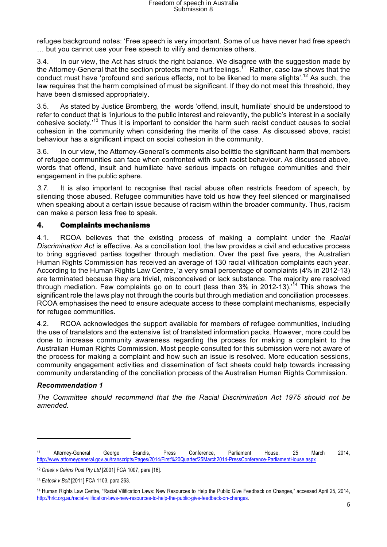refugee background notes: 'Free speech is very important. Some of us have never had free speech … but you cannot use your free speech to vilify and demonise others.

3.4. In our view, the Act has struck the right balance. We disagree with the suggestion made by the Attorney-General that the section protects mere hurt feelings.<sup>11</sup> Rather, case law shows that the conduct must have 'profound and serious effects, not to be likened to mere slights'.<sup>12</sup> As such, the law requires that the harm complained of must be significant. If they do not meet this threshold, they have been dismissed appropriately.

3.5. As stated by Justice Bromberg, the words 'offend, insult, humiliate' should be understood to refer to conduct that is 'injurious to the public interest and relevantly, the public's interest in a socially cohesive society.'<sup>13</sup> Thus it is important to consider the harm such racist conduct causes to social cohesion in the community when considering the merits of the case. As discussed above, racist behaviour has a significant impact on social cohesion in the community.

3.6. In our view, the Attorney-General's comments also belittle the significant harm that members of refugee communities can face when confronted with such racist behaviour. As discussed above, words that offend, insult and humiliate have serious impacts on refugee communities and their engagement in the public sphere.

*3.7.* It is also important to recognise that racial abuse often restricts freedom of speech, by silencing those abused. Refugee communities have told us how they feel silenced or marginalised when speaking about a certain issue because of racism within the broader community. Thus, racism can make a person less free to speak.

#### 4. Complaints mechanisms

4.1. RCOA believes that the existing process of making a complaint under the *Racial Discrimination Act* is effective. As a conciliation tool, the law provides a civil and educative process to bring aggrieved parties together through mediation. Over the past five years, the Australian Human Rights Commission has received an average of 130 racial vilification complaints each year. According to the Human Rights Law Centre, 'a very small percentage of complaints (4% in 2012-13) are terminated because they are trivial, misconceived or lack substance. The majority are resolved through mediation. Few complaints go on to court (less than 3% in 2012-13).<sup>14</sup> This shows the significant role the laws play not through the courts but through mediation and conciliation processes. RCOA emphasises the need to ensure adequate access to these complaint mechanisms, especially for refugee communities.

4.2. RCOA acknowledges the support available for members of refugee communities, including the use of translators and the extensive list of translated information packs. However, more could be done to increase community awareness regarding the process for making a complaint to the Australian Human Rights Commission. Most people consulted for this submission were not aware of the process for making a complaint and how such an issue is resolved. More education sessions, community engagement activities and dissemination of fact sheets could help towards increasing community understanding of the conciliation process of the Australian Human Rights Commission.

#### *Recommendation 1*

*The Committee should recommend that the the Racial Discrimination Act 1975 should not be amended.*

<sup>11</sup> Attorney-General George Brandis, Press Conference, Parliament House, 25 March 2014, http://www.attorneygeneral.gov.au/transcripts/Pages/2014/First%20Quarter/25March2014-PressConference-ParliamentHouse.aspx

<sup>12</sup> *Creek v Cairns Post Pty Ltd* [2001] FCA 1007, para [16].

<sup>13</sup> *Eatock v Bolt* [2011] FCA 1103, para 263.

<sup>14</sup> Human Rights Law Centre, "Racial Vilification Laws: New Resources to Help the Public Give Feedback on Changes," accessed April 25, 2014, http://hrlc.org.au/racial-vilification-laws-new-resources-to-help-the-public-give-feedback-on-changes.